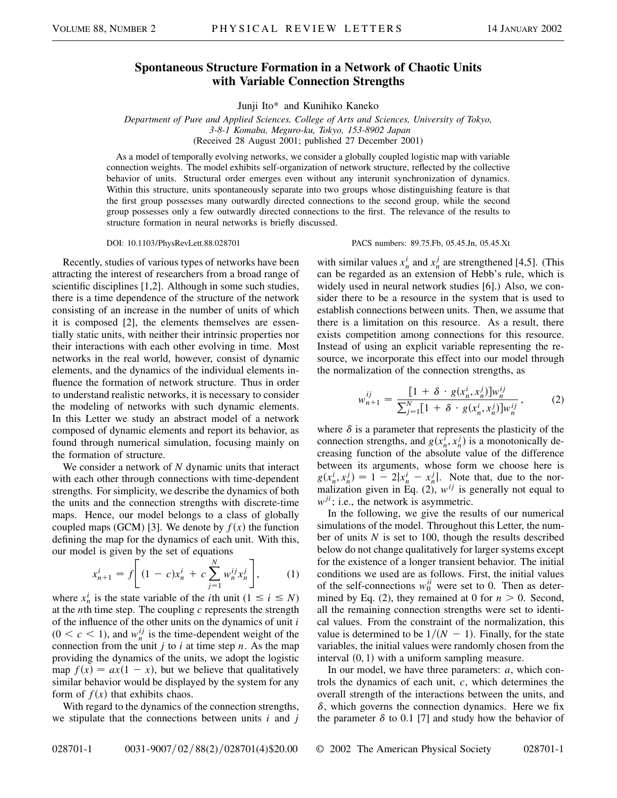## **Spontaneous Structure Formation in a Network of Chaotic Units with Variable Connection Strengths**

Junji Ito\* and Kunihiko Kaneko

*Department of Pure and Applied Sciences, College of Arts and Sciences, University of Tokyo, 3-8-1 Komaba, Meguro-ku, Tokyo, 153-8902 Japan* (Received 28 August 2001; published 27 December 2001)

As a model of temporally evolving networks, we consider a globally coupled logistic map with variable connection weights. The model exhibits self-organization of network structure, reflected by the collective behavior of units. Structural order emerges even without any interunit synchronization of dynamics. Within this structure, units spontaneously separate into two groups whose distinguishing feature is that the first group possesses many outwardly directed connections to the second group, while the second group possesses only a few outwardly directed connections to the first. The relevance of the results to structure formation in neural networks is briefly discussed.

Recently, studies of various types of networks have been attracting the interest of researchers from a broad range of scientific disciplines [1,2]. Although in some such studies, there is a time dependence of the structure of the network consisting of an increase in the number of units of which it is composed [2], the elements themselves are essentially static units, with neither their intrinsic properties nor their interactions with each other evolving in time. Most networks in the real world, however, consist of dynamic elements, and the dynamics of the individual elements influence the formation of network structure. Thus in order to understand realistic networks, it is necessary to consider the modeling of networks with such dynamic elements. In this Letter we study an abstract model of a network composed of dynamic elements and report its behavior, as found through numerical simulation, focusing mainly on the formation of structure.

We consider a network of *N* dynamic units that interact with each other through connections with time-dependent strengths. For simplicity, we describe the dynamics of both the units and the connection strengths with discrete-time maps. Hence, our model belongs to a class of globally coupled maps (GCM) [3]. We denote by  $f(x)$  the function defining the map for the dynamics of each unit. With this, our model is given by the set of equations

$$
x_{n+1}^i = f \left[ (1 - c)x_n^i + c \sum_{j=1}^N w_n^{ij} x_n^j \right],
$$
 (1)

where  $x_n^i$  is the state variable of the *i*th unit  $(1 \le i \le N)$ at the *n*th time step. The coupling *c* represents the strength of the influence of the other units on the dynamics of unit *i*  $(0 \lt c \lt 1)$ , and  $w_n^{ij}$  is the time-dependent weight of the connection from the unit *j* to *i* at time step *n*. As the map providing the dynamics of the units, we adopt the logistic map  $f(x) = ax(1 - x)$ , but we believe that qualitatively similar behavior would be displayed by the system for any form of  $f(x)$  that exhibits chaos.

With regard to the dynamics of the connection strengths, we stipulate that the connections between units *i* and *j*

DOI: 10.1103/PhysRevLett.88.028701 PACS numbers: 89.75.Fb, 05.45.Jn, 05.45.Xt

with similar values  $x_n^i$  and  $x_n^j$  are strengthened [4,5]. (This can be regarded as an extension of Hebb's rule, which is widely used in neural network studies [6].) Also, we consider there to be a resource in the system that is used to establish connections between units. Then, we assume that there is a limitation on this resource. As a result, there exists competition among connections for this resource. Instead of using an explicit variable representing the resource, we incorporate this effect into our model through the normalization of the connection strengths, as

$$
w_{n+1}^{ij} = \frac{[1 + \delta \cdot g(x_n^i, x_n^j)]w_n^{ij}}{\sum_{j=1}^N [1 + \delta \cdot g(x_n^i, x_n^j)]w_n^{ij}},
$$
 (2)

where  $\delta$  is a parameter that represents the plasticity of the connection strengths, and  $g(x_n^i, x_n^j)$  is a monotonically decreasing function of the absolute value of the difference between its arguments, whose form we choose here is  $g(x_n^i, x_n^j) = 1 - 2|x_n^i - x_n^j|$ . Note that, due to the normalization given in Eq.  $(2)$ ,  $w^{ij}$  is generally not equal to  $w^{ji}$ ; i.e., the network is asymmetric.

In the following, we give the results of our numerical simulations of the model. Throughout this Letter, the number of units *N* is set to 100, though the results described below do not change qualitatively for larger systems except for the existence of a longer transient behavior. The initial conditions we used are as follows. First, the initial values of the self-connections  $w_0^{ii}$  were set to 0. Then as determined by Eq. (2), they remained at 0 for  $n > 0$ . Second, all the remaining connection strengths were set to identical values. From the constraint of the normalization, this value is determined to be  $1/(N - 1)$ . Finally, for the state variables, the initial values were randomly chosen from the interval  $(0, 1)$  with a uniform sampling measure.

In our model, we have three parameters: *a*, which controls the dynamics of each unit, *c*, which determines the overall strength of the interactions between the units, and  $\delta$ , which governs the connection dynamics. Here we fix the parameter  $\delta$  to 0.1 [7] and study how the behavior of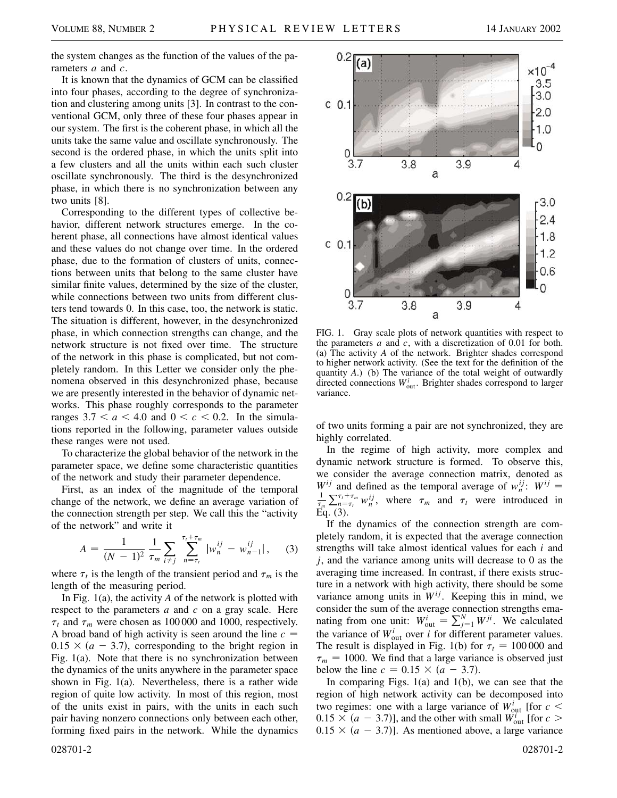the system changes as the function of the values of the parameters *a* and *c*.

It is known that the dynamics of GCM can be classified into four phases, according to the degree of synchronization and clustering among units [3]. In contrast to the conventional GCM, only three of these four phases appear in our system. The first is the coherent phase, in which all the units take the same value and oscillate synchronously. The second is the ordered phase, in which the units split into a few clusters and all the units within each such cluster oscillate synchronously. The third is the desynchronized phase, in which there is no synchronization between any two units [8].

Corresponding to the different types of collective behavior, different network structures emerge. In the coherent phase, all connections have almost identical values and these values do not change over time. In the ordered phase, due to the formation of clusters of units, connections between units that belong to the same cluster have similar finite values, determined by the size of the cluster, while connections between two units from different clusters tend towards 0. In this case, too, the network is static. The situation is different, however, in the desynchronized phase, in which connection strengths can change, and the network structure is not fixed over time. The structure of the network in this phase is complicated, but not completely random. In this Letter we consider only the phenomena observed in this desynchronized phase, because we are presently interested in the behavior of dynamic networks. This phase roughly corresponds to the parameter ranges  $3.7 < a < 4.0$  and  $0 < c < 0.2$ . In the simulations reported in the following, parameter values outside these ranges were not used.

To characterize the global behavior of the network in the parameter space, we define some characteristic quantities of the network and study their parameter dependence.

First, as an index of the magnitude of the temporal change of the network, we define an average variation of the connection strength per step. We call this the "activity of the network" and write it

$$
A = \frac{1}{(N-1)^2} \frac{1}{\tau_m} \sum_{i \neq j} \sum_{n=\tau_i}^{\tau_i + \tau_m} |w_n^{ij} - w_{n-1}^{ij}|, \quad (3)
$$

where  $\tau_t$  is the length of the transient period and  $\tau_m$  is the length of the measuring period.

In Fig. 1(a), the activity *A* of the network is plotted with respect to the parameters *a* and *c* on a gray scale. Here  $\tau_t$  and  $\tau_m$  were chosen as 100 000 and 1000, respectively. A broad band of high activity is seen around the line *c*  $0.15 \times (a - 3.7)$ , corresponding to the bright region in Fig. 1(a). Note that there is no synchronization between the dynamics of the units anywhere in the parameter space shown in Fig. 1(a). Nevertheless, there is a rather wide region of quite low activity. In most of this region, most of the units exist in pairs, with the units in each such pair having nonzero connections only between each other, forming fixed pairs in the network. While the dynamics



FIG. 1. Gray scale plots of network quantities with respect to the parameters *a* and *c*, with a discretization of 0.01 for both. (a) The activity *A* of the network. Brighter shades correspond to higher network activity. (See the text for the definition of the quantity *A*.) (b) The variance of the total weight of outwardly directed connections  $W_{\text{out}}^i$ . Brighter shades correspond to larger variance.

of two units forming a pair are not synchronized, they are highly correlated.

In the regime of high activity, more complex and dynamic network structure is formed. To observe this, we consider the average connection matrix, denoted as *W<sup>ij</sup>* and defined as the temporal average of  $w_n^{ij}$ :  $W^{ij} =$ <br>
<sup>1</sup>  $\nabla^{\tau_i + \tau_m} w^{ij}$  where  $\tau_n$  and  $\tau_n$  were introduced in t*m*  $\sum_{n=\tau_i}^{\tau_i+\tau_m} w_n^{ij}$ , where  $\tau_m$  and  $\tau_t$  were introduced in Eq. (3).

If the dynamics of the connection strength are completely random, it is expected that the average connection strengths will take almost identical values for each *i* and *j*, and the variance among units will decrease to 0 as the averaging time increased. In contrast, if there exists structure in a network with high activity, there should be some variance among units in  $W^{ij}$ . Keeping this in mind, we consider the sum of the average connection strengths emanating from one unit:  $W_{\text{out}}^i = \sum_{j=1}^N W^{ji}$ . We calculated the variance of  $W_{\text{out}}^i$  over *i* for different parameter values. The result is displayed in Fig. 1(b) for  $\tau_t = 100000$  and  $\tau_m$  = 1000. We find that a large variance is observed just below the line  $c = 0.15 \times (a - 3.7)$ .

In comparing Figs.  $1(a)$  and  $1(b)$ , we can see that the region of high network activity can be decomposed into two regimes: one with a large variance of  $W_{\text{out}}^i$  [for  $c <$  $0.15 \times (a - 3.7)$ ], and the other with small  $W_{\text{out}}^i$  [for  $c >$  $0.15 \times (a - 3.7)$ ]. As mentioned above, a large variance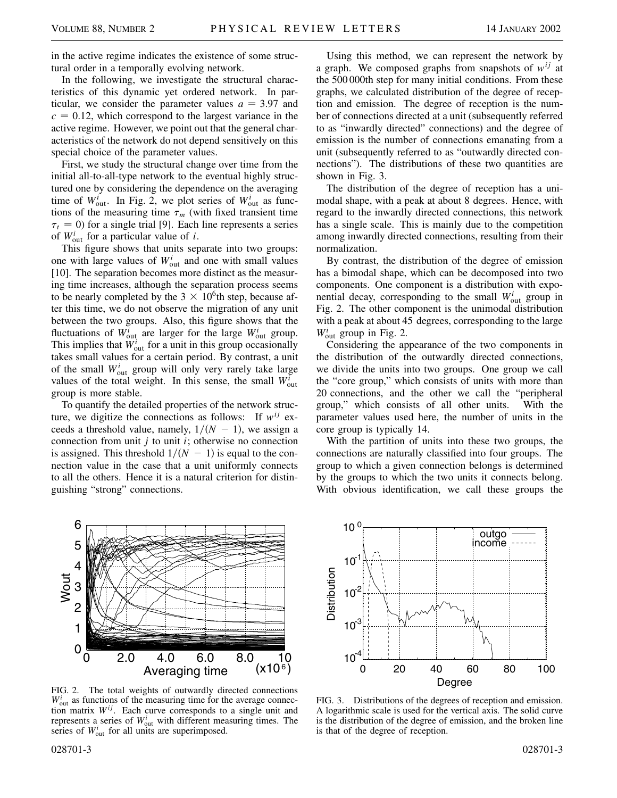in the active regime indicates the existence of some structural order in a temporally evolving network.

In the following, we investigate the structural characteristics of this dynamic yet ordered network. In particular, we consider the parameter values  $a = 3.97$  and  $c = 0.12$ , which correspond to the largest variance in the active regime. However, we point out that the general characteristics of the network do not depend sensitively on this special choice of the parameter values.

First, we study the structural change over time from the initial all-to-all-type network to the eventual highly structured one by considering the dependence on the averaging time of  $W_{\text{out}}^i$ . In Fig. 2, we plot series of  $W_{\text{out}}^i$  as functions of the measuring time  $\tau_m$  (with fixed transient time  $\tau_t$  = 0) for a single trial [9]. Each line represents a series of  $W_{\text{out}}^i$  for a particular value of *i*.

This figure shows that units separate into two groups: one with large values of  $W_{\text{out}}^i$  and one with small values [10]. The separation becomes more distinct as the measuring time increases, although the separation process seems to be nearly completed by the  $3 \times 10^6$ th step, because after this time, we do not observe the migration of any unit between the two groups. Also, this figure shows that the fluctuations of  $W_{\text{out}}^i$  are larger for the large  $W_{\text{out}}^i$  group. This implies that  $W_{\text{out}}^i$  for a unit in this group occasionally takes small values for a certain period. By contrast, a unit of the small  $W_{\text{out}}^i$  group will only very rarely take large values of the total weight. In this sense, the small  $W_{\text{out}}^i$ group is more stable.

To quantify the detailed properties of the network structure, we digitize the connections as follows: If  $w^{ij}$  exceeds a threshold value, namely,  $1/(N - 1)$ , we assign a connection from unit *j* to unit *i*; otherwise no connection is assigned. This threshold  $1/(N - 1)$  is equal to the connection value in the case that a unit uniformly connects to all the others. Hence it is a natural criterion for distinguishing "strong" connections.

Using this method, we can represent the network by a graph. We composed graphs from snapshots of  $w^{ij}$  at the 500 000th step for many initial conditions. From these graphs, we calculated distribution of the degree of reception and emission. The degree of reception is the number of connections directed at a unit (subsequently referred to as "inwardly directed" connections) and the degree of emission is the number of connections emanating from a unit (subsequently referred to as "outwardly directed connections"). The distributions of these two quantities are shown in Fig. 3.

The distribution of the degree of reception has a unimodal shape, with a peak at about 8 degrees. Hence, with regard to the inwardly directed connections, this network has a single scale. This is mainly due to the competition among inwardly directed connections, resulting from their normalization.

By contrast, the distribution of the degree of emission has a bimodal shape, which can be decomposed into two components. One component is a distribution with exponential decay, corresponding to the small  $W_{\text{out}}^i$  group in Fig. 2. The other component is the unimodal distribution with a peak at about 45 degrees, corresponding to the large  $W_{\text{out}}^i$  group in Fig. 2.

Considering the appearance of the two components in the distribution of the outwardly directed connections, we divide the units into two groups. One group we call the "core group," which consists of units with more than 20 connections, and the other we call the "peripheral group," which consists of all other units. With the parameter values used here, the number of units in the core group is typically 14.

With the partition of units into these two groups, the connections are naturally classified into four groups. The group to which a given connection belongs is determined by the groups to which the two units it connects belong. With obvious identification, we call these groups the



FIG. 2. The total weights of outwardly directed connections  $W_{\text{out}}^i$  as functions of the measuring time for the average connection matrix  $W^{ij}$ . Each curve corresponds to a single unit and represents a series of  $W_{\text{out}}^i$  with different measuring times. The series of  $W_{\text{out}}^i$  for all units are superimposed.



FIG. 3. Distributions of the degrees of reception and emission. A logarithmic scale is used for the vertical axis. The solid curve is the distribution of the degree of emission, and the broken line is that of the degree of reception.